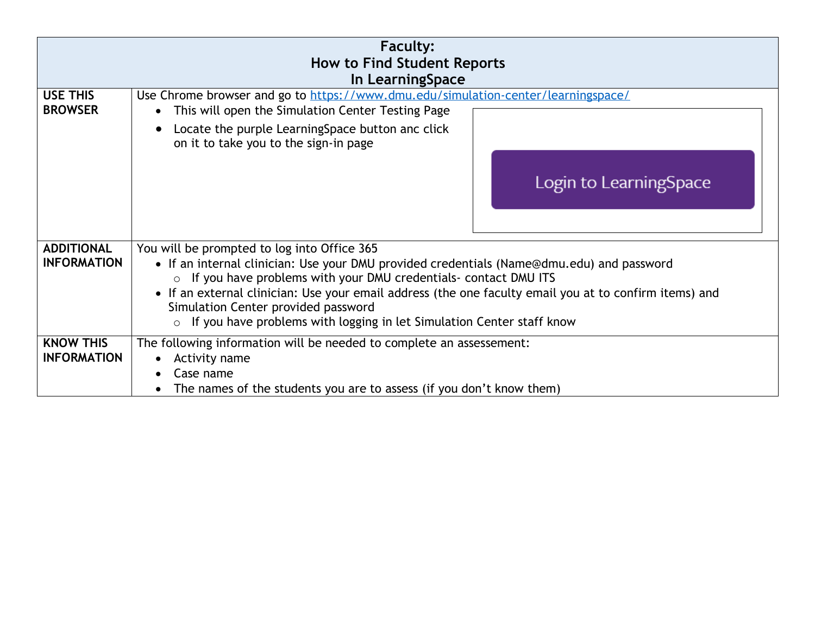|                                         | <b>Faculty:</b><br><b>How to Find Student Reports</b><br>In LearningSpace                                                                                                                                                                                                                                                                                                                                                                                   |
|-----------------------------------------|-------------------------------------------------------------------------------------------------------------------------------------------------------------------------------------------------------------------------------------------------------------------------------------------------------------------------------------------------------------------------------------------------------------------------------------------------------------|
| <b>USE THIS</b><br><b>BROWSER</b>       | Use Chrome browser and go to https://www.dmu.edu/simulation-center/learningspace/<br>This will open the Simulation Center Testing Page<br>$\bullet$<br>Locate the purple Learning Space button and click<br>on it to take you to the sign-in page<br>Login to LearningSpace                                                                                                                                                                                 |
| <b>ADDITIONAL</b><br><b>INFORMATION</b> | You will be prompted to log into Office 365<br>• If an internal clinician: Use your DMU provided credentials (Name@dmu.edu) and password<br>If you have problems with your DMU credentials- contact DMU ITS<br>$\circ$<br>• If an external clinician: Use your email address (the one faculty email you at to confirm items) and<br>Simulation Center provided password<br>If you have problems with logging in let Simulation Center staff know<br>$\circ$ |
| <b>KNOW THIS</b><br><b>INFORMATION</b>  | The following information will be needed to complete an assessement:<br>Activity name<br>Case name<br>The names of the students you are to assess (if you don't know them)                                                                                                                                                                                                                                                                                  |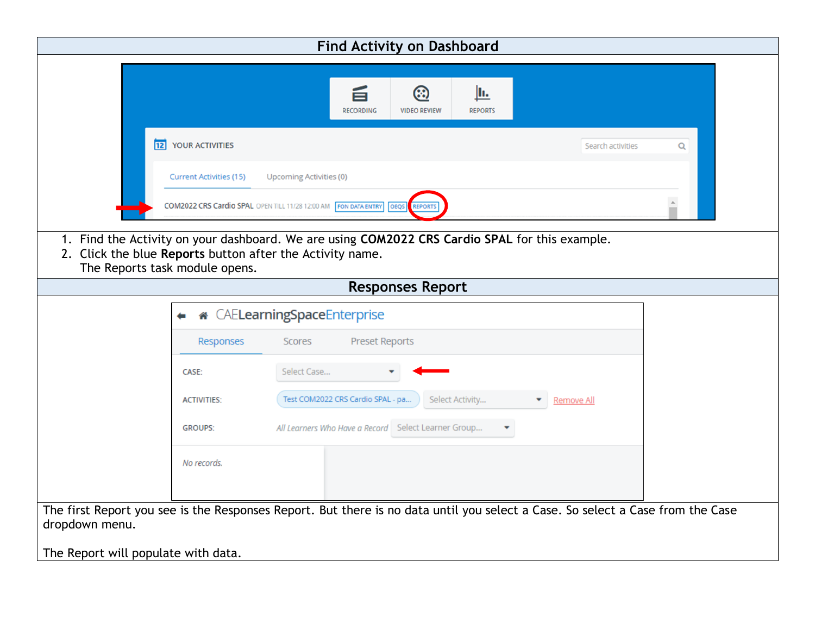|                                                                                                                                                                                               |                                                                                | <b>Find Activity on Dashboard</b>     |                   |   |  |  |  |
|-----------------------------------------------------------------------------------------------------------------------------------------------------------------------------------------------|--------------------------------------------------------------------------------|---------------------------------------|-------------------|---|--|--|--|
|                                                                                                                                                                                               |                                                                                |                                       |                   |   |  |  |  |
|                                                                                                                                                                                               | 旨                                                                              | ඹ<br><u>lh.</u>                       |                   |   |  |  |  |
|                                                                                                                                                                                               | <b>RECORDING</b>                                                               | <b>VIDEO REVIEW</b><br><b>REPORTS</b> |                   |   |  |  |  |
| 12 YOUR ACTIVITIES                                                                                                                                                                            |                                                                                |                                       | Search activities | Q |  |  |  |
| <b>Current Activities (15)</b>                                                                                                                                                                | <b>Upcoming Activities (0)</b>                                                 |                                       |                   |   |  |  |  |
|                                                                                                                                                                                               | <b>COM2022 CRS Cardio SPAL OPEN TILL 11/28 12:00 AM FON DATA ENTRY</b><br>OEQS | <b>REPORTS</b>                        |                   |   |  |  |  |
| 1. Find the Activity on your dashboard. We are using COM2022 CRS Cardio SPAL for this example.<br>2. Click the blue Reports button after the Activity name.<br>The Reports task module opens. |                                                                                |                                       |                   |   |  |  |  |
|                                                                                                                                                                                               |                                                                                | <b>Responses Report</b>               |                   |   |  |  |  |
|                                                                                                                                                                                               | CAELearningSpaceEnterprise                                                     |                                       |                   |   |  |  |  |
| Responses                                                                                                                                                                                     | <b>Preset Reports</b><br>Scores                                                |                                       |                   |   |  |  |  |
| CASE:                                                                                                                                                                                         | Select Case                                                                    |                                       |                   |   |  |  |  |
| <b>ACTIVITIES:</b>                                                                                                                                                                            | Test COM2022 CRS Cardio SPAL - pa                                              | Select Activity                       | Remove All        |   |  |  |  |
| <b>GROUPS:</b>                                                                                                                                                                                | All Learners Who Have a Record Select Learner Group                            |                                       |                   |   |  |  |  |
| No records.                                                                                                                                                                                   |                                                                                |                                       |                   |   |  |  |  |
| The first Report you see is the Responses Report. But there is no data until you select a Case. So select a Case from the Case<br>dropdown menu.<br>The Report will populate with data.       |                                                                                |                                       |                   |   |  |  |  |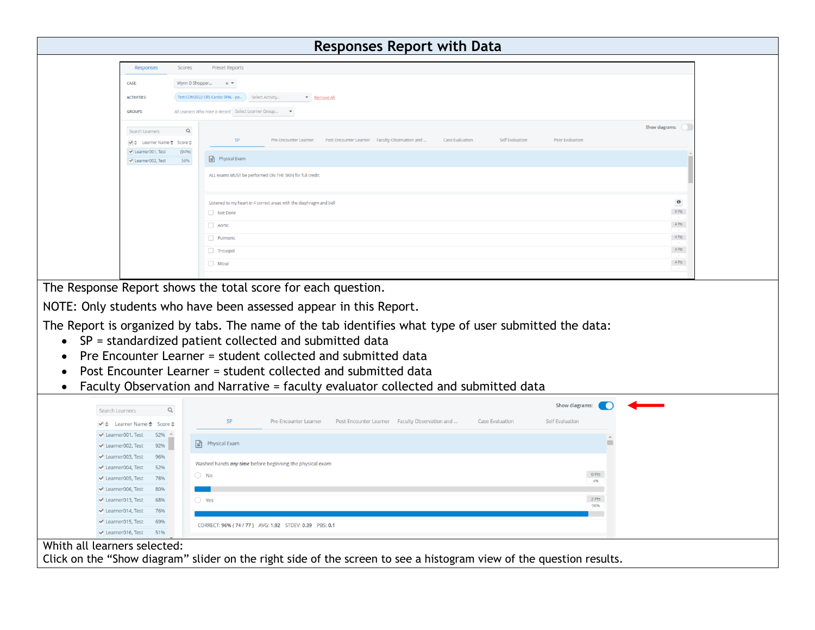| Wynn D Shopper x *<br>CASE:                                                                                                                                                                                                                                                                                                                                                                                                             |                |
|-----------------------------------------------------------------------------------------------------------------------------------------------------------------------------------------------------------------------------------------------------------------------------------------------------------------------------------------------------------------------------------------------------------------------------------------|----------------|
| Test COM2022 CRS Cardio SPAL - pa Select Activity The Remove All<br><b>ACTIVITIES</b>                                                                                                                                                                                                                                                                                                                                                   |                |
| <b>GROUPS:</b><br>All Learners Who Have a Record Select Learner Group •                                                                                                                                                                                                                                                                                                                                                                 |                |
|                                                                                                                                                                                                                                                                                                                                                                                                                                         | Show diagrams: |
| $\alpha$<br>Search Learners<br><b>Case Evaluation</b><br>Self Evaluation<br>SP<br>Pre-Encounter Learner<br>Post-Encounter Learner Faculty Observation and<br><b>Peer Evaluation</b><br>v ± Learner Name ± Score ±                                                                                                                                                                                                                       |                |
| Learner001, Test<br>(94%)                                                                                                                                                                                                                                                                                                                                                                                                               |                |
| $\Box$ Physical Exam<br>Learner002, Test<br>56%                                                                                                                                                                                                                                                                                                                                                                                         |                |
| ALL exams MUST be performed ON THE SKIN for full credit                                                                                                                                                                                                                                                                                                                                                                                 |                |
|                                                                                                                                                                                                                                                                                                                                                                                                                                         |                |
| Listened to my heart in 4 correct areas with the diaphragm and bell                                                                                                                                                                                                                                                                                                                                                                     | $\bullet$      |
| Not Done                                                                                                                                                                                                                                                                                                                                                                                                                                | 0 Pts          |
| Aortic                                                                                                                                                                                                                                                                                                                                                                                                                                  | $4$ Pts        |
| Pulmonic                                                                                                                                                                                                                                                                                                                                                                                                                                | $4$ Pts        |
| Tricuspid                                                                                                                                                                                                                                                                                                                                                                                                                               | $4$ Pts        |
|                                                                                                                                                                                                                                                                                                                                                                                                                                         |                |
| $\Box$ Mitral                                                                                                                                                                                                                                                                                                                                                                                                                           | $4$ Pts        |
| The Response Report shows the total score for each question.<br>NOTE: Only students who have been assessed appear in this Report.<br>The Report is organized by tabs. The name of the tab identifies what type of user submitted the data:<br>$SP = standardized patient collected and submitted data$<br>Pre Encounter Learner = student collected and submitted data<br>Post Encounter Learner = student collected and submitted data |                |
| Faculty Observation and Narrative = faculty evaluator collected and submitted data                                                                                                                                                                                                                                                                                                                                                      |                |
| Show diagrams:<br>$\hbox{\tt Q}$<br>Search Learners                                                                                                                                                                                                                                                                                                                                                                                     |                |
| SP<br><b>Case Evaluation</b><br>Self Evaluation<br>Pre-Encounter Learner Post-Encounter Learner Faculty Observation and<br>$\blacktriangleright$ Learner Name $\clubsuit$ Score $\triangleq$                                                                                                                                                                                                                                            |                |
| Learner001, Test<br>$52\%$ $-$                                                                                                                                                                                                                                                                                                                                                                                                          |                |
| $\equiv$ Physical Exam<br>Learner002, Test<br>92%                                                                                                                                                                                                                                                                                                                                                                                       |                |
| Learner003, Test<br>96%<br>Washed hands any time before beginning the physical exam                                                                                                                                                                                                                                                                                                                                                     |                |
| Learner004, Test<br>52%<br>$\bigcirc$ No<br>78%                                                                                                                                                                                                                                                                                                                                                                                         | O Pts          |
| Learner005, Test<br>Learner006, Test<br>80%                                                                                                                                                                                                                                                                                                                                                                                             | 4%             |
| Learner013, Test<br>68%<br>$\bigcap$ Yes                                                                                                                                                                                                                                                                                                                                                                                                | 2 Pts          |
| Learner014, Test<br>76%                                                                                                                                                                                                                                                                                                                                                                                                                 | 96%            |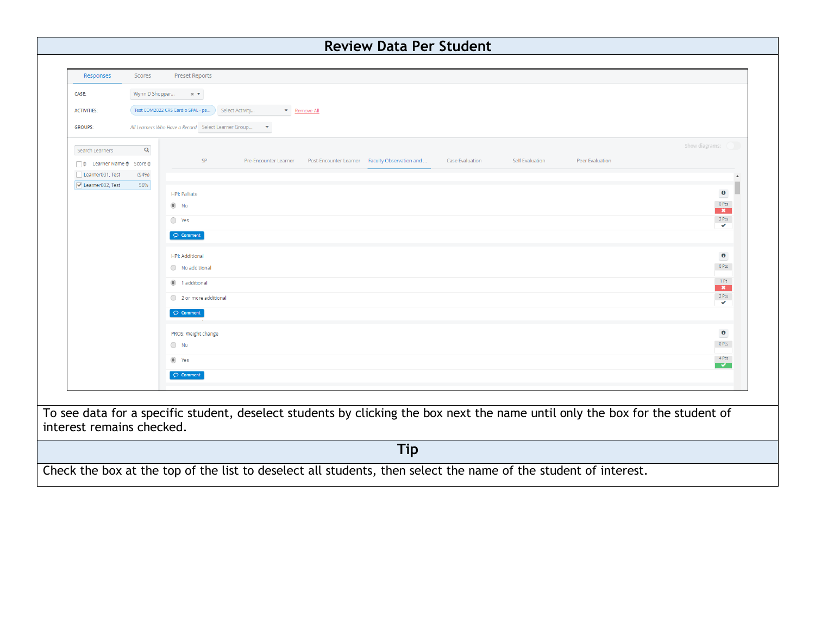| Responses<br>Scores<br><b>Preset Reports</b><br>CASE:<br>Wynn D Shopper<br>$\times$ $\blacktriangledown$<br>Test COM2022 CRS Cardio SPAL - pa<br>Select Activity<br>Remove All<br><b>ACTIVITIES:</b><br>All Learners Who Have a Record Select Learner Group<br><b>GROUPS:</b><br>$\mathbf{v}$<br>Show diagrams:<br>$\mathsf Q$<br>Search Learners<br><b>SP</b><br>Pre-Encounter Learner Post-Encounter Learner Faculty Observation and<br><b>Case Evaluation</b><br>Self Evaluation<br>Peer Evaluation<br>□ ↓ Learner Name ◆ Score ◆<br>Learner001, Test<br>(94%)<br>Learner002, Test<br>56%<br>$\bullet$<br><b>HPI: Palliate</b><br>$0$ Pts<br>$\circledcirc$ No<br>$\mathbf{x}$<br>$2$ Pts<br>$\bigcirc$ Yes<br>$\checkmark$<br>$\bigcirc$ Comment<br>$\bullet$<br>HPI: Additional<br>$0$ Pts<br>◯ No additional<br>$-1$ Pt<br>1 additional<br>$\overline{\mathbf{x}}$<br>$-2$ Pts<br>2 or more additional<br>$\checkmark$<br>$\bigcirc$ Comment<br>$\bullet$<br>PROS: Weight change<br>$0$ Pts<br>$\bigcirc$ No<br>$4$ Pts<br>lacks Yes<br>$\circ$ Comment<br>To see data for a specific student, deselect students by clicking the box next the name until only the box for the student of<br>interest remains checked.<br><b>Tip</b><br>Check the box at the top of the list to deselect all students, then select the name of the student of interest. | <b>Review Data Per Student</b> |  |  |  |  |  |
|--------------------------------------------------------------------------------------------------------------------------------------------------------------------------------------------------------------------------------------------------------------------------------------------------------------------------------------------------------------------------------------------------------------------------------------------------------------------------------------------------------------------------------------------------------------------------------------------------------------------------------------------------------------------------------------------------------------------------------------------------------------------------------------------------------------------------------------------------------------------------------------------------------------------------------------------------------------------------------------------------------------------------------------------------------------------------------------------------------------------------------------------------------------------------------------------------------------------------------------------------------------------------------------------------------------------------------------------------------------|--------------------------------|--|--|--|--|--|
|                                                                                                                                                                                                                                                                                                                                                                                                                                                                                                                                                                                                                                                                                                                                                                                                                                                                                                                                                                                                                                                                                                                                                                                                                                                                                                                                                              |                                |  |  |  |  |  |
|                                                                                                                                                                                                                                                                                                                                                                                                                                                                                                                                                                                                                                                                                                                                                                                                                                                                                                                                                                                                                                                                                                                                                                                                                                                                                                                                                              |                                |  |  |  |  |  |
|                                                                                                                                                                                                                                                                                                                                                                                                                                                                                                                                                                                                                                                                                                                                                                                                                                                                                                                                                                                                                                                                                                                                                                                                                                                                                                                                                              |                                |  |  |  |  |  |
|                                                                                                                                                                                                                                                                                                                                                                                                                                                                                                                                                                                                                                                                                                                                                                                                                                                                                                                                                                                                                                                                                                                                                                                                                                                                                                                                                              |                                |  |  |  |  |  |
|                                                                                                                                                                                                                                                                                                                                                                                                                                                                                                                                                                                                                                                                                                                                                                                                                                                                                                                                                                                                                                                                                                                                                                                                                                                                                                                                                              |                                |  |  |  |  |  |
|                                                                                                                                                                                                                                                                                                                                                                                                                                                                                                                                                                                                                                                                                                                                                                                                                                                                                                                                                                                                                                                                                                                                                                                                                                                                                                                                                              |                                |  |  |  |  |  |
|                                                                                                                                                                                                                                                                                                                                                                                                                                                                                                                                                                                                                                                                                                                                                                                                                                                                                                                                                                                                                                                                                                                                                                                                                                                                                                                                                              |                                |  |  |  |  |  |
|                                                                                                                                                                                                                                                                                                                                                                                                                                                                                                                                                                                                                                                                                                                                                                                                                                                                                                                                                                                                                                                                                                                                                                                                                                                                                                                                                              |                                |  |  |  |  |  |
|                                                                                                                                                                                                                                                                                                                                                                                                                                                                                                                                                                                                                                                                                                                                                                                                                                                                                                                                                                                                                                                                                                                                                                                                                                                                                                                                                              |                                |  |  |  |  |  |
|                                                                                                                                                                                                                                                                                                                                                                                                                                                                                                                                                                                                                                                                                                                                                                                                                                                                                                                                                                                                                                                                                                                                                                                                                                                                                                                                                              |                                |  |  |  |  |  |
|                                                                                                                                                                                                                                                                                                                                                                                                                                                                                                                                                                                                                                                                                                                                                                                                                                                                                                                                                                                                                                                                                                                                                                                                                                                                                                                                                              |                                |  |  |  |  |  |
|                                                                                                                                                                                                                                                                                                                                                                                                                                                                                                                                                                                                                                                                                                                                                                                                                                                                                                                                                                                                                                                                                                                                                                                                                                                                                                                                                              |                                |  |  |  |  |  |
|                                                                                                                                                                                                                                                                                                                                                                                                                                                                                                                                                                                                                                                                                                                                                                                                                                                                                                                                                                                                                                                                                                                                                                                                                                                                                                                                                              |                                |  |  |  |  |  |
|                                                                                                                                                                                                                                                                                                                                                                                                                                                                                                                                                                                                                                                                                                                                                                                                                                                                                                                                                                                                                                                                                                                                                                                                                                                                                                                                                              |                                |  |  |  |  |  |
|                                                                                                                                                                                                                                                                                                                                                                                                                                                                                                                                                                                                                                                                                                                                                                                                                                                                                                                                                                                                                                                                                                                                                                                                                                                                                                                                                              |                                |  |  |  |  |  |
|                                                                                                                                                                                                                                                                                                                                                                                                                                                                                                                                                                                                                                                                                                                                                                                                                                                                                                                                                                                                                                                                                                                                                                                                                                                                                                                                                              |                                |  |  |  |  |  |
|                                                                                                                                                                                                                                                                                                                                                                                                                                                                                                                                                                                                                                                                                                                                                                                                                                                                                                                                                                                                                                                                                                                                                                                                                                                                                                                                                              |                                |  |  |  |  |  |
|                                                                                                                                                                                                                                                                                                                                                                                                                                                                                                                                                                                                                                                                                                                                                                                                                                                                                                                                                                                                                                                                                                                                                                                                                                                                                                                                                              |                                |  |  |  |  |  |
|                                                                                                                                                                                                                                                                                                                                                                                                                                                                                                                                                                                                                                                                                                                                                                                                                                                                                                                                                                                                                                                                                                                                                                                                                                                                                                                                                              |                                |  |  |  |  |  |
|                                                                                                                                                                                                                                                                                                                                                                                                                                                                                                                                                                                                                                                                                                                                                                                                                                                                                                                                                                                                                                                                                                                                                                                                                                                                                                                                                              |                                |  |  |  |  |  |
|                                                                                                                                                                                                                                                                                                                                                                                                                                                                                                                                                                                                                                                                                                                                                                                                                                                                                                                                                                                                                                                                                                                                                                                                                                                                                                                                                              |                                |  |  |  |  |  |
|                                                                                                                                                                                                                                                                                                                                                                                                                                                                                                                                                                                                                                                                                                                                                                                                                                                                                                                                                                                                                                                                                                                                                                                                                                                                                                                                                              |                                |  |  |  |  |  |
|                                                                                                                                                                                                                                                                                                                                                                                                                                                                                                                                                                                                                                                                                                                                                                                                                                                                                                                                                                                                                                                                                                                                                                                                                                                                                                                                                              |                                |  |  |  |  |  |
|                                                                                                                                                                                                                                                                                                                                                                                                                                                                                                                                                                                                                                                                                                                                                                                                                                                                                                                                                                                                                                                                                                                                                                                                                                                                                                                                                              |                                |  |  |  |  |  |
|                                                                                                                                                                                                                                                                                                                                                                                                                                                                                                                                                                                                                                                                                                                                                                                                                                                                                                                                                                                                                                                                                                                                                                                                                                                                                                                                                              |                                |  |  |  |  |  |
|                                                                                                                                                                                                                                                                                                                                                                                                                                                                                                                                                                                                                                                                                                                                                                                                                                                                                                                                                                                                                                                                                                                                                                                                                                                                                                                                                              |                                |  |  |  |  |  |
|                                                                                                                                                                                                                                                                                                                                                                                                                                                                                                                                                                                                                                                                                                                                                                                                                                                                                                                                                                                                                                                                                                                                                                                                                                                                                                                                                              |                                |  |  |  |  |  |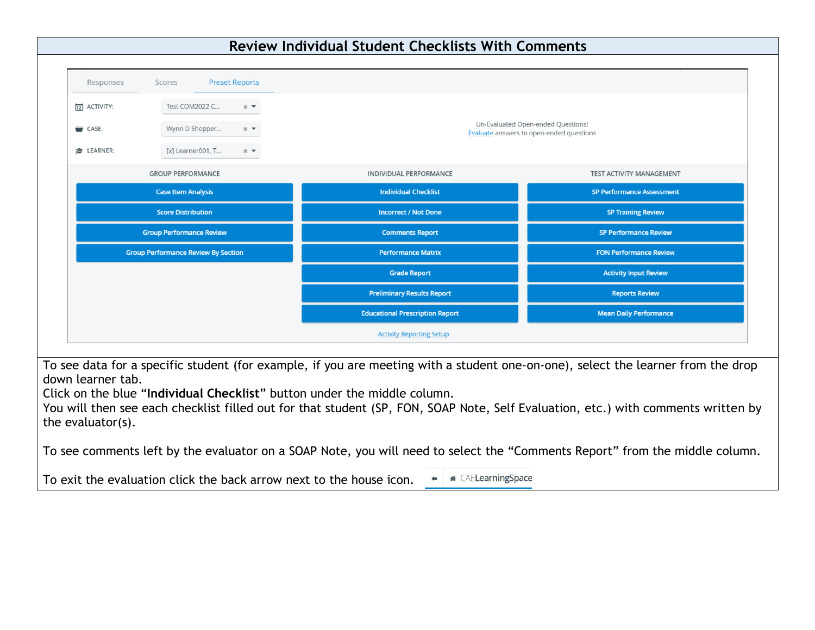

To see data for a specific student (for example, if you are meeting with a student one-on-one), select the learner from the drop down learner tab.

Click on the blue "**Individual Checklist**" button under the middle column.

You will then see each checklist filled out for that student (SP, FON, SOAP Note, Self Evaluation, etc.) with comments written by the evaluator(s).

To see comments left by the evaluator on a SOAP Note, you will need to select the "Comments Report" from the middle column.

To exit the evaluation click the back arrow next to the house icon.**\*** CAE**LearningSpace**